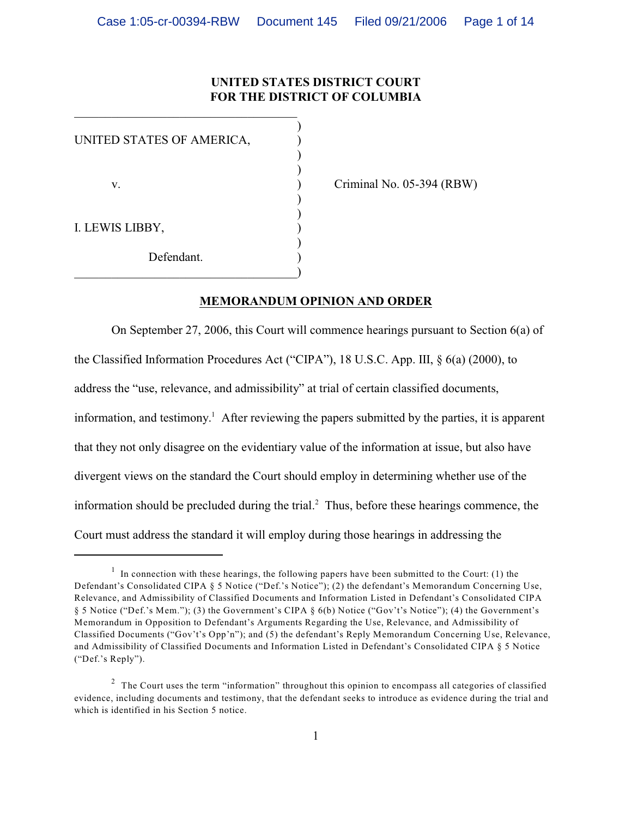## **UNITED STATES DISTRICT COURT FOR THE DISTRICT OF COLUMBIA**

| UNITED STATES OF AMERICA, |  |
|---------------------------|--|
| V.                        |  |
| I. LEWIS LIBBY,           |  |
| Defendant.                |  |

\_\_\_\_\_\_\_\_\_\_\_\_\_\_\_\_\_\_\_\_\_\_\_\_\_\_\_\_\_\_\_\_\_\_\_\_

Criminal No. 05-394 (RBW)

## **MEMORANDUM OPINION AND ORDER**

On September 27, 2006, this Court will commence hearings pursuant to Section 6(a) of the Classified Information Procedures Act ("CIPA"), 18 U.S.C. App. III, § 6(a) (2000), to address the "use, relevance, and admissibility" at trial of certain classified documents, information, and testimony.<sup>1</sup> After reviewing the papers submitted by the parties, it is apparent that they not only disagree on the evidentiary value of the information at issue, but also have divergent views on the standard the Court should employ in determining whether use of the information should be precluded during the trial. $<sup>2</sup>$  Thus, before these hearings commence, the</sup> Court must address the standard it will employ during those hearings in addressing the

 $\frac{1}{1}$  In connection with these hearings, the following papers have been submitted to the Court: (1) the Defendant's Consolidated CIPA § 5 Notice ("Def.'s Notice"); (2) the defendant's Memorandum Concerning Use, Relevance, and Admissibility of Classified Documents and Information Listed in Defendant's Consolidated CIPA § 5 Notice ("Def.'s Mem."); (3) the Government's CIPA § 6(b) Notice ("Gov't's Notice"); (4) the Government's Memorandum in Opposition to Defendant's Arguments Regarding the Use, Relevance, and Admissibility of Classified Documents ("Gov't's Opp'n"); and (5) the defendant's Reply Memorandum Concerning Use, Relevance, and Admissibility of Classified Documents and Information Listed in Defendant's Consolidated CIPA § 5 Notice ("Def.'s Reply").

<sup>&</sup>lt;sup>2</sup> The Court uses the term "information" throughout this opinion to encompass all categories of classified evidence, including documents and testimony, that the defendant seeks to introduce as evidence during the trial and which is identified in his Section 5 notice.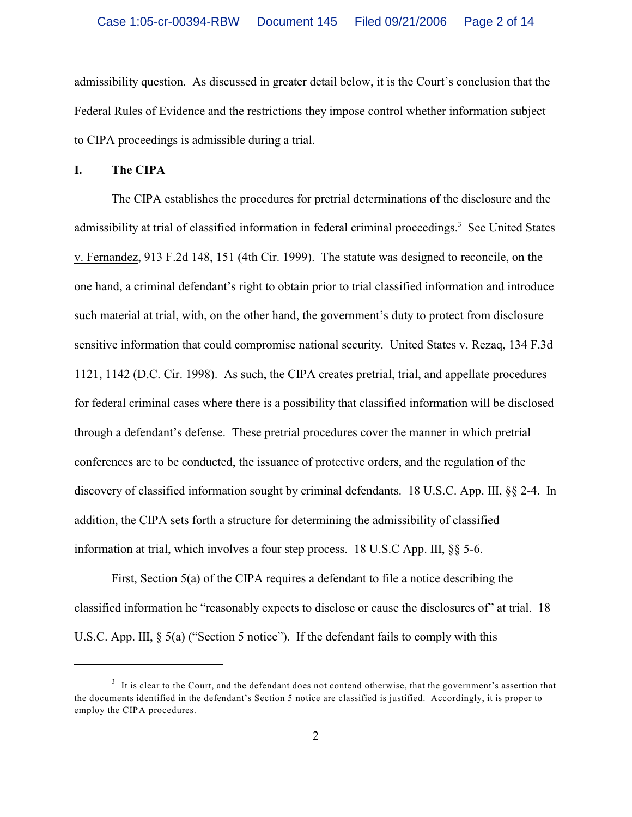admissibility question. As discussed in greater detail below, it is the Court's conclusion that the Federal Rules of Evidence and the restrictions they impose control whether information subject to CIPA proceedings is admissible during a trial.

**I. The CIPA**

The CIPA establishes the procedures for pretrial determinations of the disclosure and the admissibility at trial of classified information in federal criminal proceedings.<sup>3</sup> See United States v. Fernandez, 913 F.2d 148, 151 (4th Cir. 1999). The statute was designed to reconcile, on the one hand, a criminal defendant's right to obtain prior to trial classified information and introduce such material at trial, with, on the other hand, the government's duty to protect from disclosure sensitive information that could compromise national security. United States v. Rezaq, 134 F.3d 1121, 1142 (D.C. Cir. 1998). As such, the CIPA creates pretrial, trial, and appellate procedures for federal criminal cases where there is a possibility that classified information will be disclosed through a defendant's defense. These pretrial procedures cover the manner in which pretrial conferences are to be conducted, the issuance of protective orders, and the regulation of the discovery of classified information sought by criminal defendants. 18 U.S.C. App. III, §§ 2-4. In addition, the CIPA sets forth a structure for determining the admissibility of classified information at trial, which involves a four step process. 18 U.S.C App. III, §§ 5-6.

First, Section 5(a) of the CIPA requires a defendant to file a notice describing the classified information he "reasonably expects to disclose or cause the disclosures of" at trial. 18 U.S.C. App. III,  $\S$  5(a) ("Section 5 notice"). If the defendant fails to comply with this

 $3\,$  It is clear to the Court, and the defendant does not contend otherwise, that the government's assertion that the documents identified in the defendant's Section 5 notice are classified is justified. Accordingly, it is proper to employ the CIPA procedures.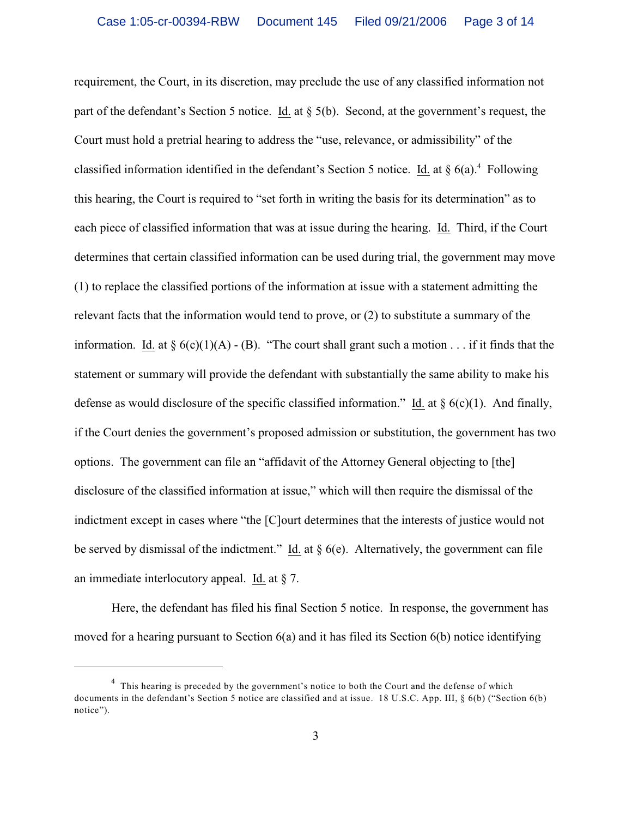requirement, the Court, in its discretion, may preclude the use of any classified information not part of the defendant's Section 5 notice. Id. at § 5(b). Second, at the government's request, the Court must hold a pretrial hearing to address the "use, relevance, or admissibility" of the classified information identified in the defendant's Section 5 notice. Id. at  $\S$  6(a).<sup>4</sup> Following this hearing, the Court is required to "set forth in writing the basis for its determination" as to each piece of classified information that was at issue during the hearing. Id. Third, if the Court determines that certain classified information can be used during trial, the government may move (1) to replace the classified portions of the information at issue with a statement admitting the relevant facts that the information would tend to prove, or (2) to substitute a summary of the information. Id. at  $\S 6(c)(1)(A) - (B)$ . "The court shall grant such a motion . . . if it finds that the statement or summary will provide the defendant with substantially the same ability to make his defense as would disclosure of the specific classified information." Id. at  $\S$  6(c)(1). And finally, if the Court denies the government's proposed admission or substitution, the government has two options. The government can file an "affidavit of the Attorney General objecting to [the] disclosure of the classified information at issue," which will then require the dismissal of the indictment except in cases where "the [C]ourt determines that the interests of justice would not be served by dismissal of the indictment." Id. at  $\S$  6(e). Alternatively, the government can file an immediate interlocutory appeal. Id. at § 7.

Here, the defendant has filed his final Section 5 notice. In response, the government has moved for a hearing pursuant to Section 6(a) and it has filed its Section 6(b) notice identifying

 $<sup>4</sup>$  This hearing is preceded by the government's notice to both the Court and the defense of which</sup> documents in the defendant's Section 5 notice are classified and at issue. 18 U.S.C. App. III, § 6(b) ("Section 6(b) notice").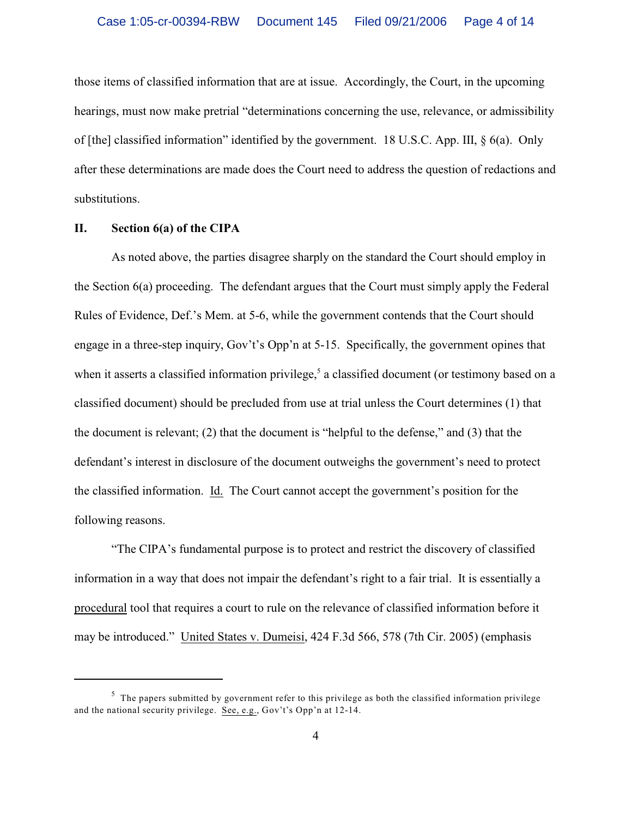those items of classified information that are at issue. Accordingly, the Court, in the upcoming hearings, must now make pretrial "determinations concerning the use, relevance, or admissibility of [the] classified information" identified by the government. 18 U.S.C. App. III, § 6(a). Only after these determinations are made does the Court need to address the question of redactions and substitutions.

## **II. Section 6(a) of the CIPA**

As noted above, the parties disagree sharply on the standard the Court should employ in the Section 6(a) proceeding. The defendant argues that the Court must simply apply the Federal Rules of Evidence, Def.'s Mem. at 5-6, while the government contends that the Court should engage in a three-step inquiry, Gov't's Opp'n at 5-15. Specifically, the government opines that when it asserts a classified information privilege,<sup>5</sup> a classified document (or testimony based on a classified document) should be precluded from use at trial unless the Court determines (1) that the document is relevant; (2) that the document is "helpful to the defense," and (3) that the defendant's interest in disclosure of the document outweighs the government's need to protect the classified information. Id. The Court cannot accept the government's position for the following reasons.

"The CIPA's fundamental purpose is to protect and restrict the discovery of classified information in a way that does not impair the defendant's right to a fair trial. It is essentially a procedural tool that requires a court to rule on the relevance of classified information before it may be introduced." United States v. Dumeisi, 424 F.3d 566, 578 (7th Cir. 2005) (emphasis

 $5$  The papers submitted by government refer to this privilege as both the classified information privilege and the national security privilege. See, e.g., Gov't's Opp'n at 12-14.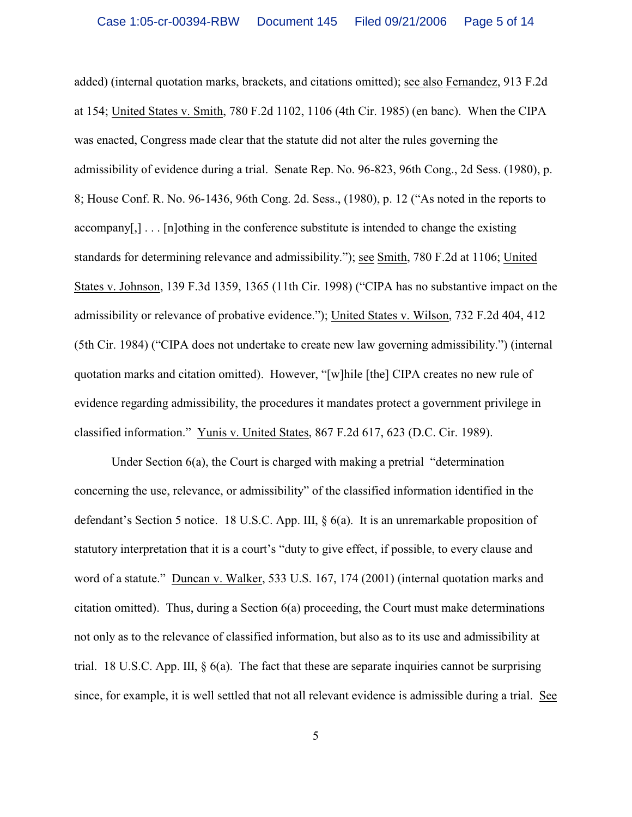added) (internal quotation marks, brackets, and citations omitted); see also Fernandez, 913 F.2d at 154; United States v. Smith, 780 F.2d 1102, 1106 (4th Cir. 1985) (en banc). When the CIPA was enacted, Congress made clear that the statute did not alter the rules governing the admissibility of evidence during a trial. Senate Rep. No. 96-823, 96th Cong., 2d Sess. (1980), p. 8; House Conf. R. No. 96-1436, 96th Cong. 2d. Sess., (1980), p. 12 ("As noted in the reports to accompany[ $\ldots$ ]... [n]othing in the conference substitute is intended to change the existing standards for determining relevance and admissibility."); see Smith, 780 F.2d at 1106; United States v. Johnson, 139 F.3d 1359, 1365 (11th Cir. 1998) ("CIPA has no substantive impact on the admissibility or relevance of probative evidence."); United States v. Wilson, 732 F.2d 404, 412 (5th Cir. 1984) ("CIPA does not undertake to create new law governing admissibility.") (internal quotation marks and citation omitted). However, "[w]hile [the] CIPA creates no new rule of evidence regarding admissibility, the procedures it mandates protect a government privilege in classified information." Yunis v. United States, 867 F.2d 617, 623 (D.C. Cir. 1989).

Under Section 6(a), the Court is charged with making a pretrial "determination concerning the use, relevance, or admissibility" of the classified information identified in the defendant's Section 5 notice. 18 U.S.C. App. III, § 6(a). It is an unremarkable proposition of statutory interpretation that it is a court's "duty to give effect, if possible, to every clause and word of a statute." Duncan v. Walker, 533 U.S. 167, 174 (2001) (internal quotation marks and citation omitted). Thus, during a Section 6(a) proceeding, the Court must make determinations not only as to the relevance of classified information, but also as to its use and admissibility at trial. 18 U.S.C. App. III,  $\S$  6(a). The fact that these are separate inquiries cannot be surprising since, for example, it is well settled that not all relevant evidence is admissible during a trial. See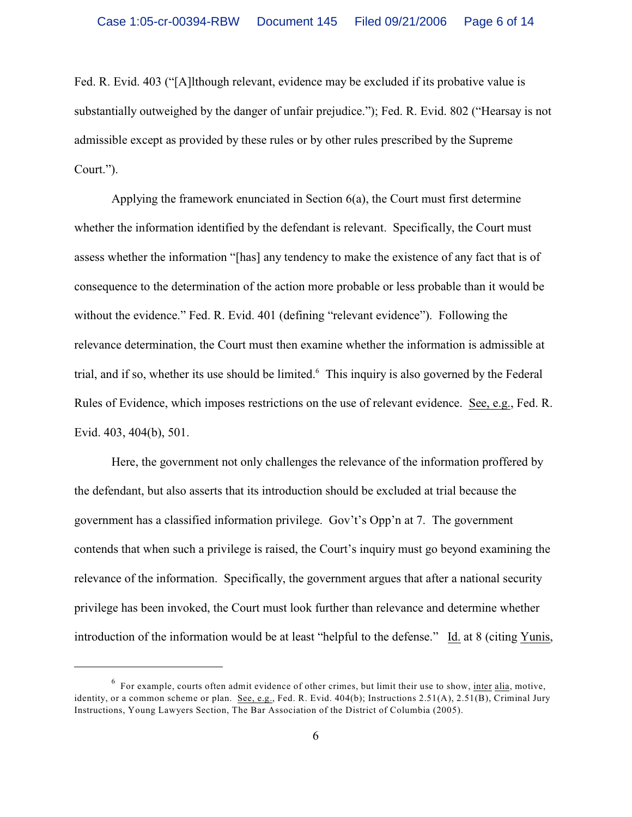Fed. R. Evid. 403 ("[A]lthough relevant, evidence may be excluded if its probative value is substantially outweighed by the danger of unfair prejudice."); Fed. R. Evid. 802 ("Hearsay is not admissible except as provided by these rules or by other rules prescribed by the Supreme Court.").

Applying the framework enunciated in Section 6(a), the Court must first determine whether the information identified by the defendant is relevant. Specifically, the Court must assess whether the information "[has] any tendency to make the existence of any fact that is of consequence to the determination of the action more probable or less probable than it would be without the evidence." Fed. R. Evid. 401 (defining "relevant evidence"). Following the relevance determination, the Court must then examine whether the information is admissible at trial, and if so, whether its use should be limited.<sup>6</sup> This inquiry is also governed by the Federal Rules of Evidence, which imposes restrictions on the use of relevant evidence. See, e.g., Fed. R. Evid. 403, 404(b), 501.

Here, the government not only challenges the relevance of the information proffered by the defendant, but also asserts that its introduction should be excluded at trial because the government has a classified information privilege. Gov't's Opp'n at 7. The government contends that when such a privilege is raised, the Court's inquiry must go beyond examining the relevance of the information. Specifically, the government argues that after a national security privilege has been invoked, the Court must look further than relevance and determine whether introduction of the information would be at least "helpful to the defense." Id. at 8 (citing Yunis,

 $6$  For example, courts often admit evidence of other crimes, but limit their use to show, inter alia, motive, identity, or a common scheme or plan. See, e.g., Fed. R. Evid. 404(b); Instructions 2.51(A), 2.51(B), Criminal Jury Instructions, Young Lawyers Section, The Bar Association of the District of Columbia (2005).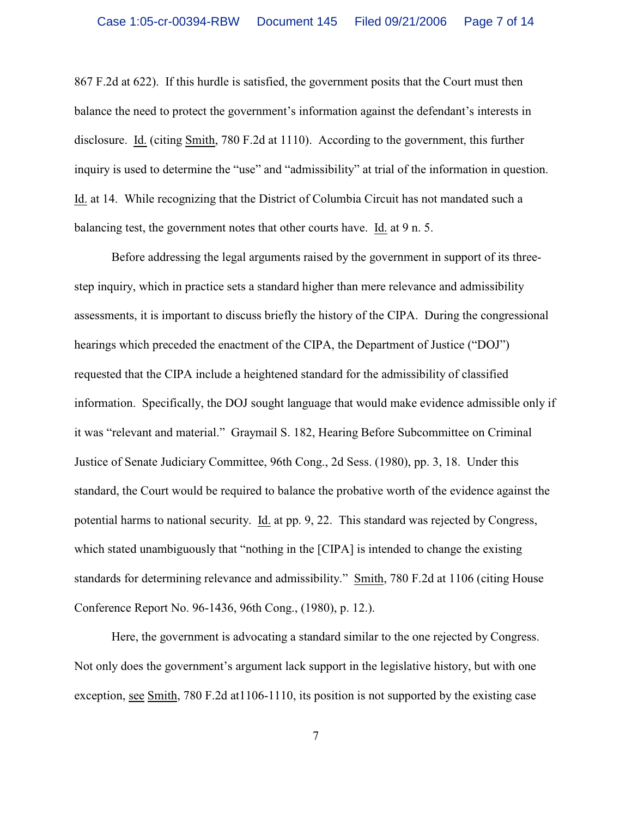867 F.2d at 622). If this hurdle is satisfied, the government posits that the Court must then balance the need to protect the government's information against the defendant's interests in disclosure. Id. (citing Smith, 780 F.2d at 1110). According to the government, this further inquiry is used to determine the "use" and "admissibility" at trial of the information in question. Id. at 14. While recognizing that the District of Columbia Circuit has not mandated such a balancing test, the government notes that other courts have. Id. at 9 n. 5.

Before addressing the legal arguments raised by the government in support of its threestep inquiry, which in practice sets a standard higher than mere relevance and admissibility assessments, it is important to discuss briefly the history of the CIPA. During the congressional hearings which preceded the enactment of the CIPA, the Department of Justice ("DOJ") requested that the CIPA include a heightened standard for the admissibility of classified information. Specifically, the DOJ sought language that would make evidence admissible only if it was "relevant and material." Graymail S. 182, Hearing Before Subcommittee on Criminal Justice of Senate Judiciary Committee, 96th Cong., 2d Sess. (1980), pp. 3, 18. Under this standard, the Court would be required to balance the probative worth of the evidence against the potential harms to national security. Id. at pp. 9, 22. This standard was rejected by Congress, which stated unambiguously that "nothing in the [CIPA] is intended to change the existing standards for determining relevance and admissibility." Smith, 780 F.2d at 1106 (citing House Conference Report No. 96-1436, 96th Cong., (1980), p. 12.).

Here, the government is advocating a standard similar to the one rejected by Congress. Not only does the government's argument lack support in the legislative history, but with one exception, see Smith, 780 F.2d at1106-1110, its position is not supported by the existing case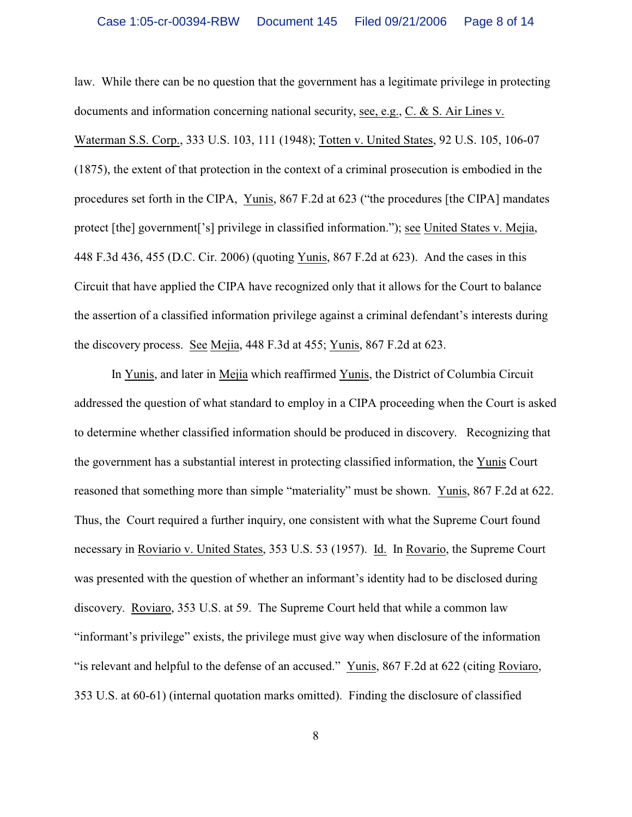law. While there can be no question that the government has a legitimate privilege in protecting documents and information concerning national security, see, e.g., C. & S. Air Lines v.

Waterman S.S. Corp., 333 U.S. 103, 111 (1948); Totten v. United States, 92 U.S. 105, 106-07 (1875), the extent of that protection in the context of a criminal prosecution is embodied in the procedures set forth in the CIPA, Yunis, 867 F.2d at 623 ("the procedures [the CIPA] mandates protect [the] government['s] privilege in classified information."); see United States v. Mejia, 448 F.3d 436, 455 (D.C. Cir. 2006) (quoting Yunis, 867 F.2d at 623). And the cases in this Circuit that have applied the CIPA have recognized only that it allows for the Court to balance the assertion of a classified information privilege against a criminal defendant's interests during the discovery process. See Mejia, 448 F.3d at 455; Yunis, 867 F.2d at 623.

In Yunis, and later in Mejia which reaffirmed Yunis, the District of Columbia Circuit addressed the question of what standard to employ in a CIPA proceeding when the Court is asked to determine whether classified information should be produced in discovery. Recognizing that the government has a substantial interest in protecting classified information, the Yunis Court reasoned that something more than simple "materiality" must be shown. Yunis, 867 F.2d at 622. Thus, the Court required a further inquiry, one consistent with what the Supreme Court found necessary in Roviario v. United States, 353 U.S. 53 (1957). Id. In Rovario, the Supreme Court was presented with the question of whether an informant's identity had to be disclosed during discovery. Roviaro, 353 U.S. at 59. The Supreme Court held that while a common law "informant's privilege" exists, the privilege must give way when disclosure of the information "is relevant and helpful to the defense of an accused." Yunis, 867 F.2d at 622 (citing Roviaro, 353 U.S. at 60-61) (internal quotation marks omitted). Finding the disclosure of classified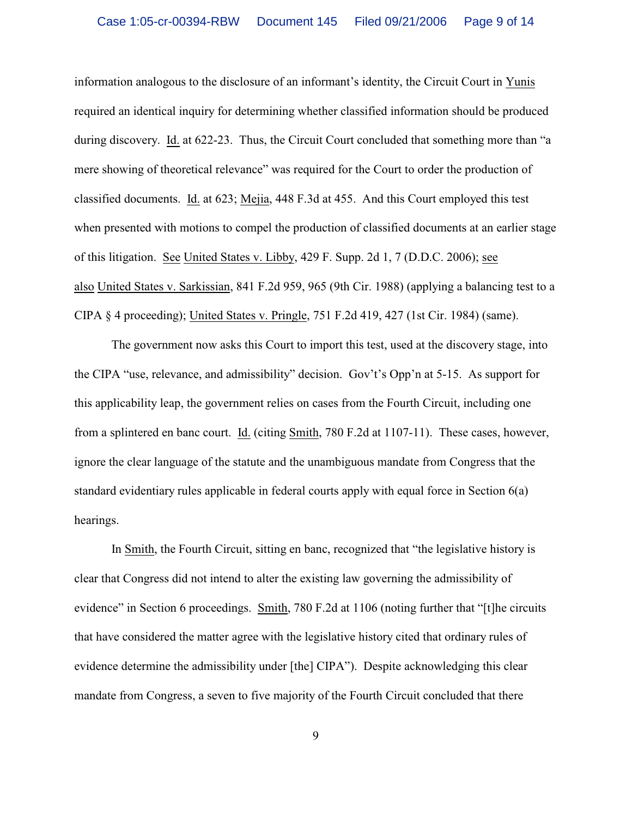information analogous to the disclosure of an informant's identity, the Circuit Court in Yunis required an identical inquiry for determining whether classified information should be produced during discovery. Id. at 622-23. Thus, the Circuit Court concluded that something more than "a mere showing of theoretical relevance" was required for the Court to order the production of classified documents. Id. at 623; Mejia, 448 F.3d at 455. And this Court employed this test when presented with motions to compel the production of classified documents at an earlier stage of this litigation. See United States v. Libby, 429 F. Supp. 2d 1, 7 (D.D.C. 2006); see also United States v. Sarkissian, 841 F.2d 959, 965 (9th Cir. 1988) (applying a balancing test to a CIPA § 4 proceeding); United States v. Pringle, 751 F.2d 419, 427 (1st Cir. 1984) (same).

The government now asks this Court to import this test, used at the discovery stage, into the CIPA "use, relevance, and admissibility" decision. Gov't's Opp'n at 5-15. As support for this applicability leap, the government relies on cases from the Fourth Circuit, including one from a splintered en banc court. Id. (citing Smith, 780 F.2d at 1107-11). These cases, however, ignore the clear language of the statute and the unambiguous mandate from Congress that the standard evidentiary rules applicable in federal courts apply with equal force in Section 6(a) hearings.

In Smith, the Fourth Circuit, sitting en banc, recognized that "the legislative history is clear that Congress did not intend to alter the existing law governing the admissibility of evidence" in Section 6 proceedings. Smith, 780 F.2d at 1106 (noting further that "[t]he circuits that have considered the matter agree with the legislative history cited that ordinary rules of evidence determine the admissibility under [the] CIPA"). Despite acknowledging this clear mandate from Congress, a seven to five majority of the Fourth Circuit concluded that there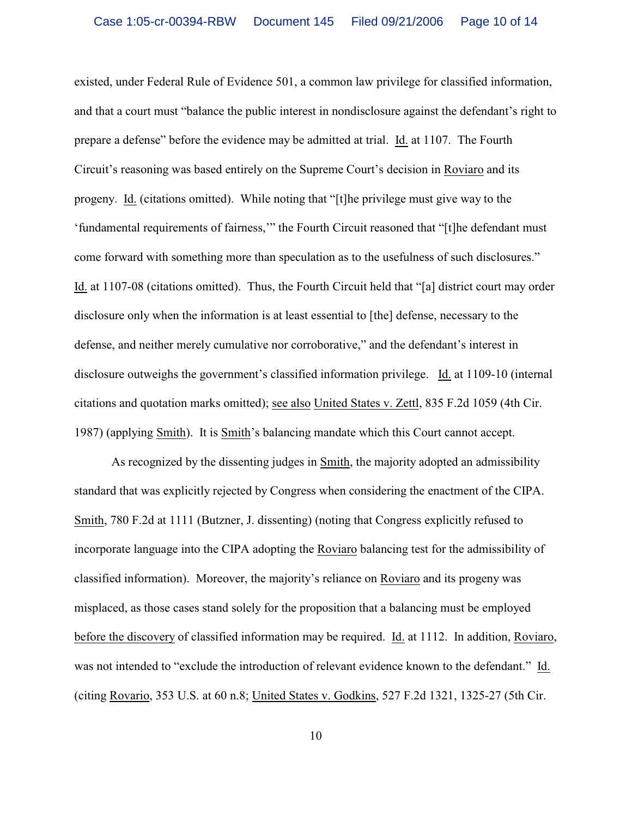existed, under Federal Rule of Evidence 501, a common law privilege for classified information, and that a court must "balance the public interest in nondisclosure against the defendant's right to prepare a defense" before the evidence may be admitted at trial. Id. at 1107. The Fourth Circuit's reasoning was based entirely on the Supreme Court's decision in Roviaro and its progeny. Id. (citations omitted). While noting that "[t]he privilege must give way to the 'fundamental requirements of fairness,'" the Fourth Circuit reasoned that "[t]he defendant must come forward with something more than speculation as to the usefulness of such disclosures." Id. at 1107-08 (citations omitted). Thus, the Fourth Circuit held that "[a] district court may order disclosure only when the information is at least essential to [the] defense, necessary to the defense, and neither merely cumulative nor corroborative," and the defendant's interest in disclosure outweighs the government's classified information privilege. Id. at 1109-10 (internal citations and quotation marks omitted); see also United States v. Zettl, 835 F.2d 1059 (4th Cir. 1987) (applying Smith). It is Smith's balancing mandate which this Court cannot accept.

As recognized by the dissenting judges in Smith, the majority adopted an admissibility standard that was explicitly rejected by Congress when considering the enactment of the CIPA. Smith, 780 F.2d at 1111 (Butzner, J. dissenting) (noting that Congress explicitly refused to incorporate language into the CIPA adopting the Roviaro balancing test for the admissibility of classified information). Moreover, the majority's reliance on Roviaro and its progeny was misplaced, as those cases stand solely for the proposition that a balancing must be employed before the discovery of classified information may be required. Id. at 1112. In addition, Roviaro, was not intended to "exclude the introduction of relevant evidence known to the defendant." Id. (citing Rovario, 353 U.S. at 60 n.8; United States v. Godkins, 527 F.2d 1321, 1325-27 (5th Cir.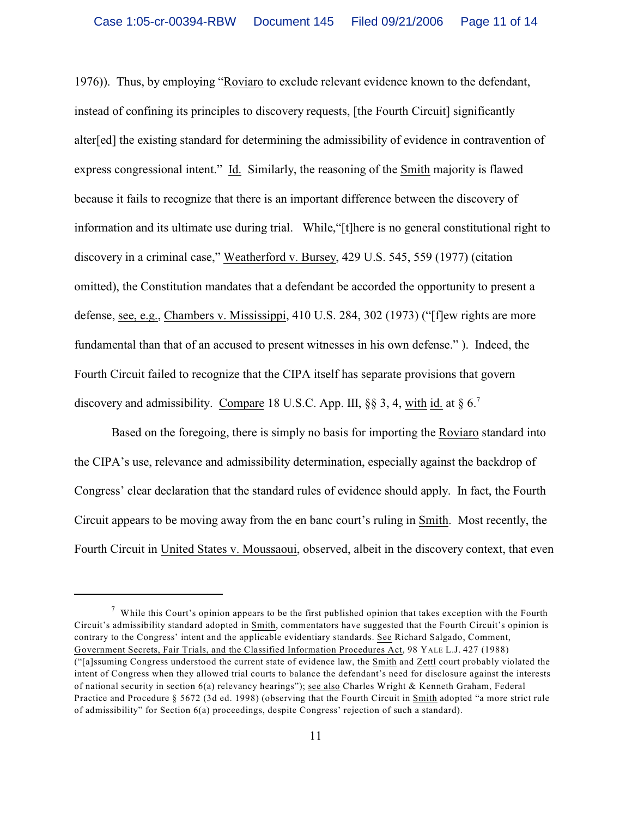1976)). Thus, by employing "Roviaro to exclude relevant evidence known to the defendant, instead of confining its principles to discovery requests, [the Fourth Circuit] significantly alter[ed] the existing standard for determining the admissibility of evidence in contravention of express congressional intent." Id. Similarly, the reasoning of the Smith majority is flawed because it fails to recognize that there is an important difference between the discovery of information and its ultimate use during trial. While,"[t]here is no general constitutional right to discovery in a criminal case," Weatherford v. Bursey, 429 U.S. 545, 559 (1977) (citation omitted), the Constitution mandates that a defendant be accorded the opportunity to present a defense, see, e.g., Chambers v. Mississippi, 410 U.S. 284, 302 (1973) ("[f]ew rights are more fundamental than that of an accused to present witnesses in his own defense." ). Indeed, the Fourth Circuit failed to recognize that the CIPA itself has separate provisions that govern discovery and admissibility. Compare 18 U.S.C. App. III,  $\S$ § 3, 4, with id. at § 6.<sup>7</sup>

Based on the foregoing, there is simply no basis for importing the Roviaro standard into the CIPA's use, relevance and admissibility determination, especially against the backdrop of Congress' clear declaration that the standard rules of evidence should apply. In fact, the Fourth Circuit appears to be moving away from the en banc court's ruling in Smith. Most recently, the Fourth Circuit in United States v. Moussaoui, observed, albeit in the discovery context, that even

<sup>&</sup>lt;sup>7</sup> While this Court's opinion appears to be the first published opinion that takes exception with the Fourth Circuit's admissibility standard adopted in Smith, commentators have suggested that the Fourth Circuit's opinion is contrary to the Congress' intent and the applicable evidentiary standards. See Richard Salgado, Comment, Government Secrets, Fair Trials, and the Classified Information Procedures Act, 98 YALE L.J. 427 (1988) ("[a]ssuming Congress understood the current state of evidence law, the Smith and Zettl court probably violated the intent of Congress when they allowed trial courts to balance the defendant's need for disclosure against the interests of national security in section 6(a) relevancy hearings"); see also Charles Wright & Kenneth Graham, Federal Practice and Procedure § 5672 (3d ed. 1998) (observing that the Fourth Circuit in Smith adopted "a more strict rule of admissibility" for Section 6(a) proceedings, despite Congress' rejection of such a standard).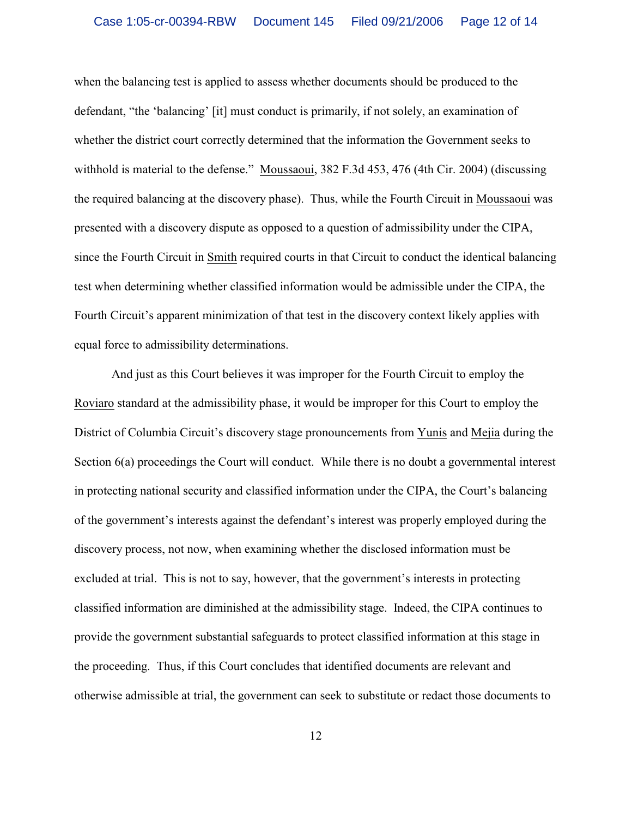when the balancing test is applied to assess whether documents should be produced to the defendant, "the 'balancing' [it] must conduct is primarily, if not solely, an examination of whether the district court correctly determined that the information the Government seeks to withhold is material to the defense." Moussaoui, 382 F.3d 453, 476 (4th Cir. 2004) (discussing the required balancing at the discovery phase). Thus, while the Fourth Circuit in Moussaoui was presented with a discovery dispute as opposed to a question of admissibility under the CIPA, since the Fourth Circuit in Smith required courts in that Circuit to conduct the identical balancing test when determining whether classified information would be admissible under the CIPA, the Fourth Circuit's apparent minimization of that test in the discovery context likely applies with equal force to admissibility determinations.

And just as this Court believes it was improper for the Fourth Circuit to employ the Roviaro standard at the admissibility phase, it would be improper for this Court to employ the District of Columbia Circuit's discovery stage pronouncements from Yunis and Mejia during the Section 6(a) proceedings the Court will conduct. While there is no doubt a governmental interest in protecting national security and classified information under the CIPA, the Court's balancing of the government's interests against the defendant's interest was properly employed during the discovery process, not now, when examining whether the disclosed information must be excluded at trial. This is not to say, however, that the government's interests in protecting classified information are diminished at the admissibility stage. Indeed, the CIPA continues to provide the government substantial safeguards to protect classified information at this stage in the proceeding. Thus, if this Court concludes that identified documents are relevant and otherwise admissible at trial, the government can seek to substitute or redact those documents to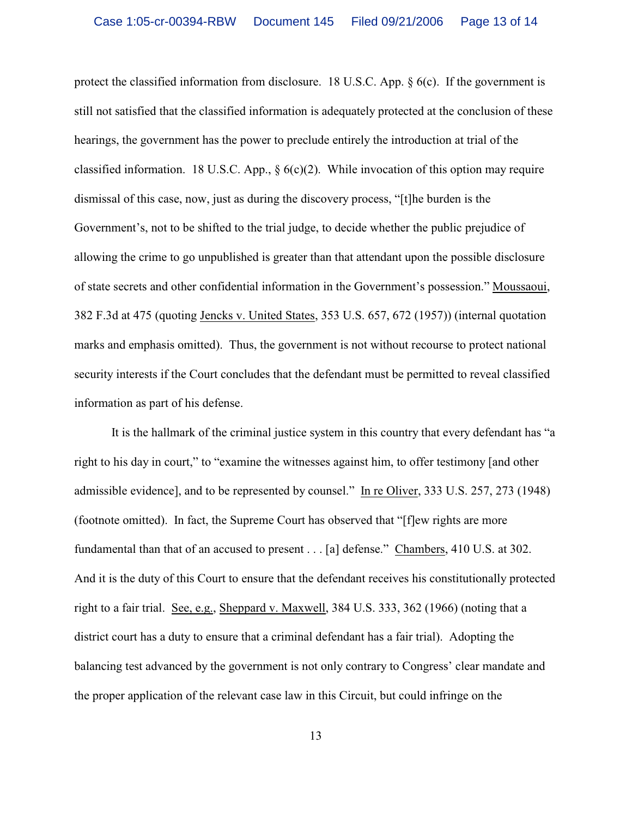protect the classified information from disclosure. 18 U.S.C. App.  $\S$  6(c). If the government is still not satisfied that the classified information is adequately protected at the conclusion of these hearings, the government has the power to preclude entirely the introduction at trial of the classified information. 18 U.S.C. App.,  $\S 6(c)(2)$ . While invocation of this option may require dismissal of this case, now, just as during the discovery process, "[t]he burden is the Government's, not to be shifted to the trial judge, to decide whether the public prejudice of allowing the crime to go unpublished is greater than that attendant upon the possible disclosure of state secrets and other confidential information in the Government's possession." Moussaoui, 382 F.3d at 475 (quoting Jencks v. United States, 353 U.S. 657, 672 (1957)) (internal quotation marks and emphasis omitted). Thus, the government is not without recourse to protect national security interests if the Court concludes that the defendant must be permitted to reveal classified information as part of his defense.

It is the hallmark of the criminal justice system in this country that every defendant has "a right to his day in court," to "examine the witnesses against him, to offer testimony [and other admissible evidence], and to be represented by counsel." In re Oliver, 333 U.S. 257, 273 (1948) (footnote omitted). In fact, the Supreme Court has observed that "[f]ew rights are more fundamental than that of an accused to present . . . [a] defense." Chambers, 410 U.S. at 302. And it is the duty of this Court to ensure that the defendant receives his constitutionally protected right to a fair trial. See, e.g., Sheppard v. Maxwell, 384 U.S. 333, 362 (1966) (noting that a district court has a duty to ensure that a criminal defendant has a fair trial). Adopting the balancing test advanced by the government is not only contrary to Congress' clear mandate and the proper application of the relevant case law in this Circuit, but could infringe on the